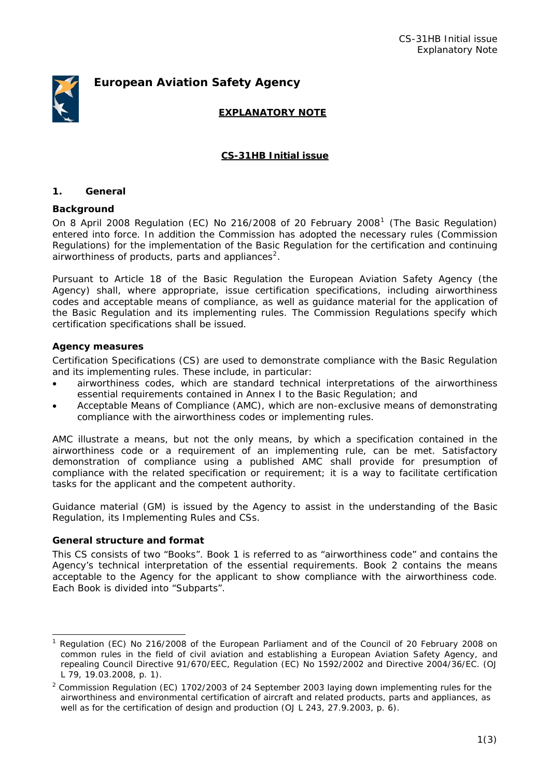# *European Aviation Safety Agency*



# **EXPLANATORY NOTE**

# **CS-31HB Initial issue**

#### **1. General**

#### **Background**

On 8 April 2008 Regulation (EC) No 2[1](#page-0-0)6/2008 of 20 February 2008<sup>1</sup> (The Basic Regulation) entered into force. In addition the Commission has adopted the necessary rules (Commission Regulations) for the implementation of the Basic Regulation for the certification and continuing airworthiness of products, parts and appliances<sup>[2](#page-0-1)</sup>.

Pursuant to Article 18 of the Basic Regulation the European Aviation Safety Agency (the Agency) shall, where appropriate, issue certification specifications, including airworthiness codes and acceptable means of compliance, as well as guidance material for the application of the Basic Regulation and its implementing rules. The Commission Regulations specify which certification specifications shall be issued.

#### **Agency measures**

Certification Specifications (CS) are used to demonstrate compliance with the Basic Regulation and its implementing rules. These include, in particular:

- airworthiness codes, which are standard technical interpretations of the airworthiness essential requirements contained in Annex I to the Basic Regulation; and
- Acceptable Means of Compliance (AMC), which are non-exclusive means of demonstrating compliance with the airworthiness codes or implementing rules.

AMC illustrate a means, but not the only means, by which a specification contained in the airworthiness code or a requirement of an implementing rule, can be met. Satisfactory demonstration of compliance using a published AMC shall provide for presumption of compliance with the related specification or requirement; it is a way to facilitate certification tasks for the applicant and the competent authority.

Guidance material (GM) is issued by the Agency to assist in the understanding of the Basic Regulation, its Implementing Rules and CSs.

### **General structure and format**

This CS consists of two "Books". Book 1 is referred to as "airworthiness code" and contains the Agency's technical interpretation of the essential requirements. Book 2 contains the means acceptable to the Agency for the applicant to show compliance with the airworthiness code. Each Book is divided into "Subparts".

<span id="page-0-0"></span><sup>1</sup> Regulation (EC) No 216/2008 of the European Parliament and of the Council of 20 February 2008 on common rules in the field of civil aviation and establishing a European Aviation Safety Agency, and repealing Council Directive 91/670/EEC, Regulation (EC) No 1592/2002 and Directive 2004/36/EC. (OJ L 79, 19.03.2008, p. 1).

<span id="page-0-1"></span><sup>&</sup>lt;sup>2</sup> Commission Regulation (EC) 1702/2003 of 24 September 2003 laying down implementing rules for the airworthiness and environmental certification of aircraft and related products, parts and appliances, as well as for the certification of design and production (OJ L 243, 27.9.2003, p. 6).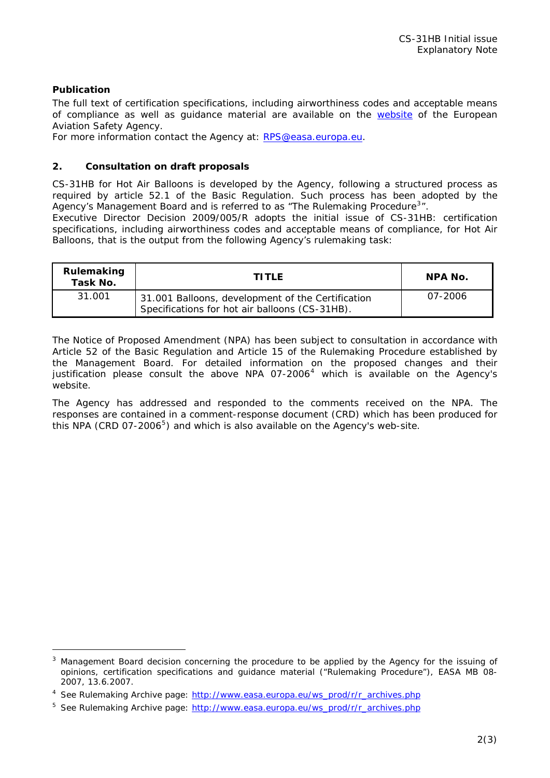# **Publication**

The full text of certification specifications, including airworthiness codes and acceptable means of compliance as well as guidance material are available on the [website](http://www.easa.europa.eu/ws_prod/g/rg_certspecs.php) of the European Aviation Safety Agency.

For more information contact the Agency at: [RPS@easa.europa.eu.](mailto:RPS@easa.europa.eu)

## **2. Consultation on draft proposals**

CS-31HB for Hot Air Balloons is developed by the Agency, following a structured process as required by article 52.1 of the Basic Regulation. Such process has been adopted by the Agency's Management Board and is referred to as "The Rulemaking Procedure<sup>[3](#page-1-0)</sup>".

Executive Director Decision 2009/005/R adopts the initial issue of CS-31HB: certification specifications, including airworthiness codes and acceptable means of compliance, for Hot Air Balloons, that is the output from the following Agency's rulemaking task:

| Rulemaking<br>Task No. | <b>TITLE</b>                                                                                        | NPA No. |
|------------------------|-----------------------------------------------------------------------------------------------------|---------|
| 31.001                 | 31.001 Balloons, development of the Certification<br>Specifications for hot air balloons (CS-31HB). | 07-2006 |

The Notice of Proposed Amendment (NPA) has been subject to consultation in accordance with Article 52 of the Basic Regulation and Article 15 of the Rulemaking Procedure established by the Management Board. For detailed information on the proposed changes and their justification please consult the above NPA  $07-2006<sup>4</sup>$  $07-2006<sup>4</sup>$  $07-2006<sup>4</sup>$  which is available on the Agency's website.

The Agency has addressed and responded to the comments received on the NPA. The responses are contained in a comment-response document (CRD) which has been produced for this NPA (CRD  $07-2006^5$  $07-2006^5$ ) and which is also available on the Agency's web-site.

<span id="page-1-0"></span> $3$  Management Board decision concerning the procedure to be applied by the Agency for the issuing of opinions, certification specifications and guidance material ("Rulemaking Procedure"), EASA MB 08- 2007, 13.6.2007.

<span id="page-1-1"></span><sup>&</sup>lt;sup>4</sup> See Rulemaking Archive page: [http://www.easa.europa.eu/ws\\_prod/r/r\\_archives.php](http://www.easa.europa.eu/ws_prod/r/r_archives.php)

<span id="page-1-2"></span><sup>&</sup>lt;sup>5</sup> See Rulemaking Archive page: [http://www.easa.europa.eu/ws\\_prod/r/r\\_archives.php](http://www.easa.europa.eu/ws_prod/r/r_archives.php)